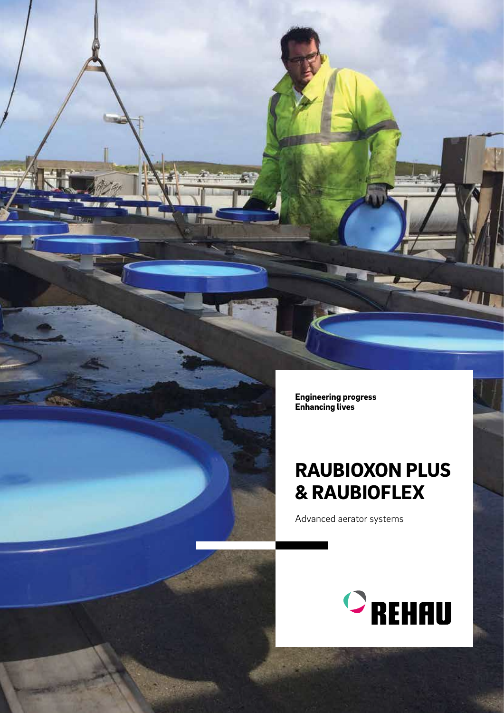Engineering progress Enhancing lives

## RAUBIOXON PLUS & RAUBIOFLEX

 $\overline{u}$ 

Advanced aerator systems

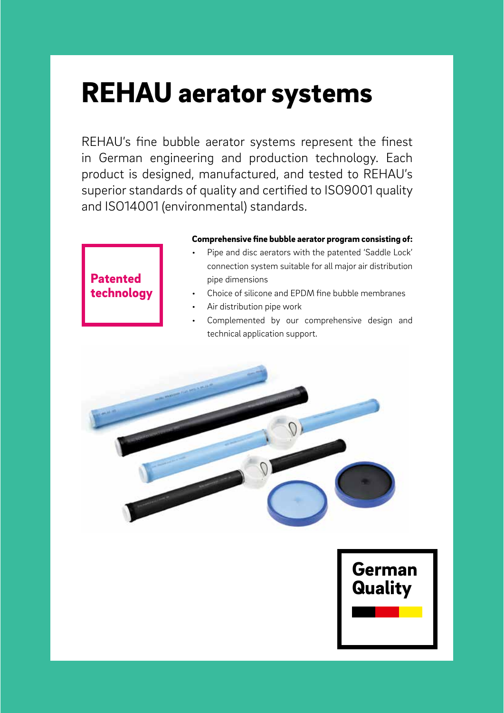# REHAU aerator systems

REHAU's fine bubble aerator systems represent the finest in German engineering and production technology. Each product is designed, manufactured, and tested to REHAU's superior standards of quality and certified to ISO9001 quality and ISO14001 (environmental) standards.



### Comprehensive fine bubble aerator program consisting of:

- Pipe and disc aerators with the patented 'Saddle Lock' connection system suitable for all major air distribution pipe dimensions
- **nology** states of silicone and EPDM fine bubble membranes
- Air distribution pipe work
- **EPDM Fine and Fine bubble members** of signal fine bubble members and the members of signal and  $\mathbf{r}$ technical application support.

German

Quality

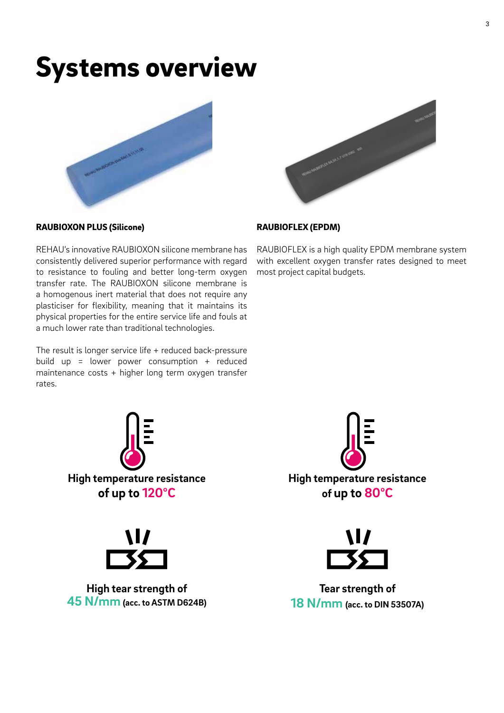## Systems overview





RAUBIOFLEX is a high quality EPDM membrane system with excellent oxygen transfer rates designed to meet

RAUBIOFLEX (EPDM)

most project capital budgets.

### RAUBIOXON PLUS (Silicone)

REHAU's innovative RAUBIOXON silicone membrane has consistently delivered superior performance with regard to resistance to fouling and better long-term oxygen transfer rate. The RAUBIOXON silicone membrane is a homogenous inert material that does not require any plasticiser for flexibility, meaning that it maintains its physical properties for the entire service life and fouls at a much lower rate than traditional technologies.

The result is longer service life + reduced back-pressure build up = lower power consumption + reduced maintenance costs + higher long term oxygen transfer rates.





**High tear strength of 45 N/mm (acc. to ASTM D624B)**





**Tear strength of 18 N/mm (acc. to DIN 53507A)**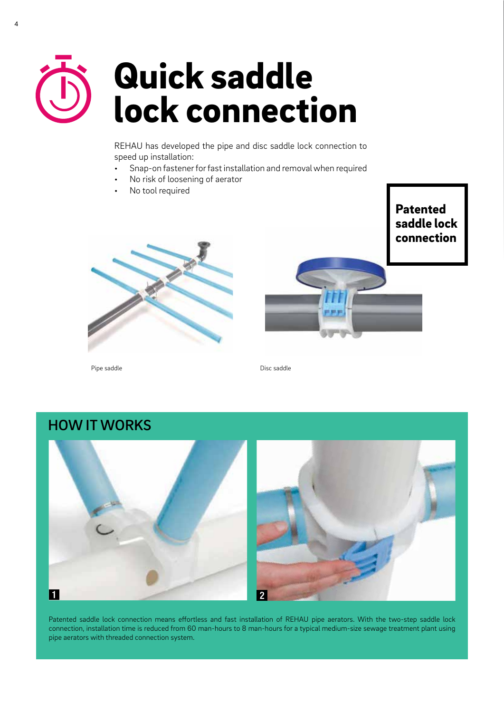

# Quick saddle lock connection

REHAU has developed the pipe and disc saddle lock connection to speed up installation:

- Snap-on fastener for fast installation and removal when required
- No risk of loosening of aerator
- No tool required



Patented saddle lock connection

Pipe saddle **Disc saddle** Disc saddle

### HOW IT WORKS



Patented saddle lock connection means effortless and fast installation of REHAU pipe aerators. With the two-step saddle lock connection, installation time is reduced from 60 man-hours to 8 man-hours for a typical medium-size sewage treatment plant using pipe aerators with threaded connection system.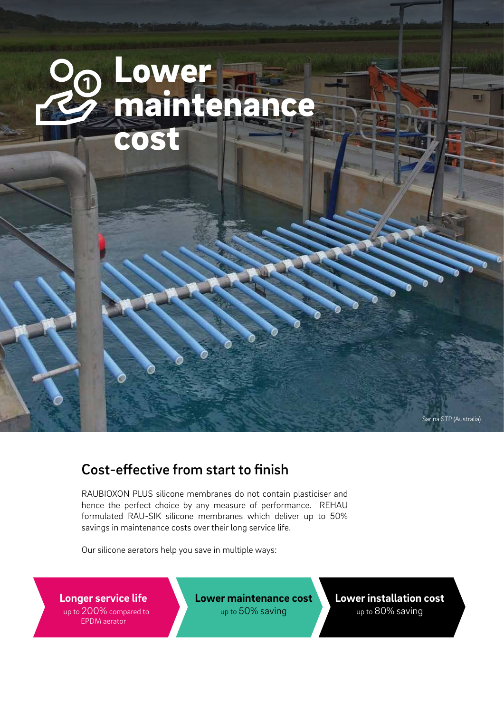

### Cost-effective from start to finish

RAUBIOXON PLUS silicone membranes do not contain plasticiser and hence the perfect choice by any measure of performance. REHAU formulated RAU-SIK silicone membranes which deliver up to 50% savings in maintenance costs over their long service life.

Our silicone aerators help you save in multiple ways:

**Longer service life** up to 200% compared to EPDM aerator

**Lower maintenance cost** up to 50% saving

**Lower installation cost** up to 80% saving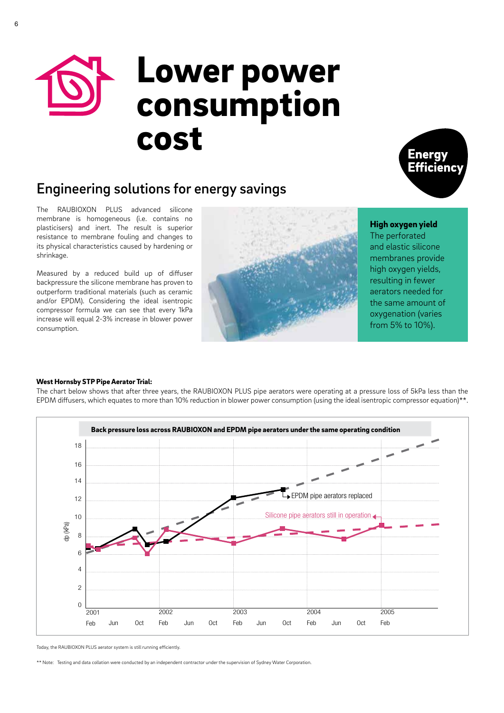# Lower power consumption cost



### Engineering solutions for energy savings

The RAUBIOXON PLUS advanced silicone membrane is homogeneous (i.e. contains no plasticisers) and inert. The result is superior resistance to membrane fouling and changes to its physical characteristics caused by hardening or shrinkage.

Measured by a reduced build up of diffuser backpressure the silicone membrane has proven to outperform traditional materials (such as ceramic and/or EPDM). Considering the ideal isentropic compressor formula we can see that every 1kPa increase will equal 2-3% increase in blower power consumption.

### High oxygen yield

The perforated and elastic silicone membranes provide high oxygen yields, resulting in fewer aerators needed for the same amount of oxygenation (varies from 5% to 10%).

### West Hornsby STP Pipe Aerator Trial:

The chart below shows that after three years, the RAUBIOXON PLUS pipe aerators were operating at a pressure loss of 5kPa less than the EPDM diffusers, which equates to more than 10% reduction in blower power consumption (using the ideal isentropic compressor equation)\*\*.



Today, the RAUBIOXON PLUS aerator system is still running efficiently.

\*\* Note: Testing and data collation were conducted by an independent contractor under the supervision of Sydney Water Corporation.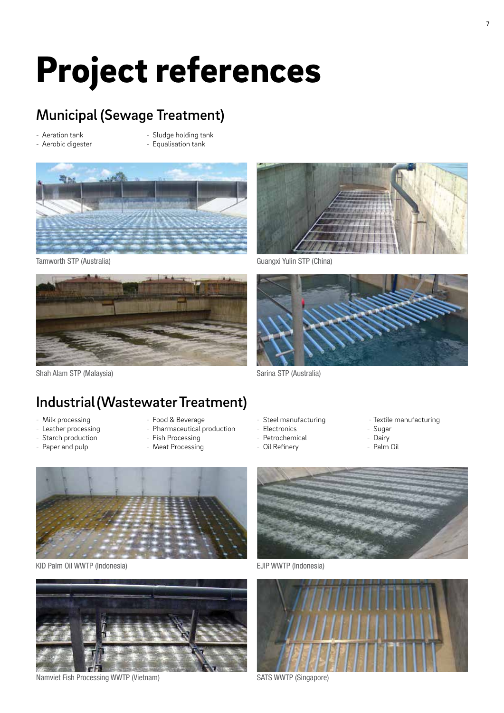# Project references

### Municipal (Sewage Treatment)

- Aeration tank - Aerobic digester
- Sludge holding tank - Equalisation tank







Tamworth STP (Australia) Guangxi Yulin STP (China)



Shah Alam STP (Malaysia) Shah Alam STP (Australia)

### Industrial (Wastewater Treatment)

- Milk processing
- Leather processing
- Starch production
- Paper and pulp
- Food & Beverage
- Pharmaceutical production
- Fish Processing
- Meat Processing
- Steel manufacturing
- Electronics
- Petrochemical
- Oil Refinery
- Textile manufacturing
- Sugar
- Dairy
- Palm Oil



KID Palm Oil WWTP (Indonesia) and EUIP WWTP (Indonesia)



Namviet Fish Processing WWTP (Vietnam) SATS WWTP (Singapore)



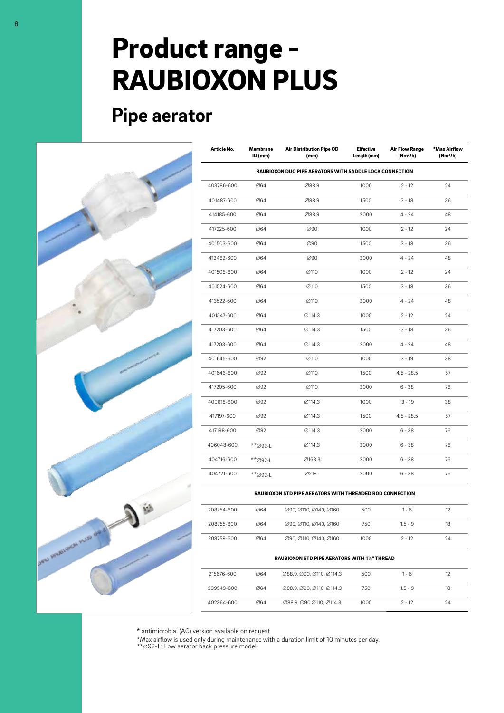## Product range - RAUBIOXON PLUS

## **Pipe aerator**



| Article No.                                             | Membrane<br>ID (mm)   | Air Distribution Pipe OD<br>(mm)                                | <b>Effective</b><br>Length (mm) | <b>Air Flow Range</b><br>$(Nm^3/h)$ | *Max Airflow<br>$(Nm^3/h)$ |  |  |  |  |  |  |
|---------------------------------------------------------|-----------------------|-----------------------------------------------------------------|---------------------------------|-------------------------------------|----------------------------|--|--|--|--|--|--|
| RAUBIOXON DUO PIPE AERATORS WITH SADDLE LOCK CONNECTION |                       |                                                                 |                                 |                                     |                            |  |  |  |  |  |  |
| 064<br>403786-600                                       |                       | ∅88.9                                                           | 1000                            | $2 - 12$                            | 24                         |  |  |  |  |  |  |
| 401487-600                                              | 064                   | Ø88.9                                                           | 1500                            | $3 - 18$                            | 36                         |  |  |  |  |  |  |
| 414185-600                                              | 064                   | ∅88.9                                                           | 2000                            | $4 - 24$                            | 48                         |  |  |  |  |  |  |
| 417225-600                                              | ∅64                   | 090                                                             | 1000                            | $2 - 12$                            | 24                         |  |  |  |  |  |  |
| 401503-600                                              | ∅64                   | Ø90                                                             | 1500                            | $3 - 18$                            | 36                         |  |  |  |  |  |  |
| 413462-600                                              | ∅64                   | Ø90                                                             | 2000                            | 4 - 24                              | 48                         |  |  |  |  |  |  |
| 401508-600                                              | ∅64                   | ∅110                                                            | 1000                            | $2 - 12$                            | 24                         |  |  |  |  |  |  |
| 401524-600                                              | ∅64                   | ∅110                                                            | 1500                            | $3 - 18$                            | 36                         |  |  |  |  |  |  |
| 413522-600                                              | ∅64                   | Ø110                                                            | 2000                            | $4 - 24$                            | 48                         |  |  |  |  |  |  |
| 401547-600                                              | ∅64                   | ∅114.3                                                          | 1000                            | $2 - 12$                            | 24                         |  |  |  |  |  |  |
| 417203-600                                              | ∅64                   | ∅114.3                                                          | 1500                            | $3 - 18$                            | 36                         |  |  |  |  |  |  |
| 417203-600                                              | ∅64                   | ∅114.3                                                          | 2000                            | 4 - 24                              | 48                         |  |  |  |  |  |  |
| 401645-600                                              | 092                   | ∅110                                                            | 1000                            | $3 - 19$                            | 38                         |  |  |  |  |  |  |
| 401646-600                                              | 092                   | ∅110                                                            | 1500                            | $4.5 - 28.5$                        | 57                         |  |  |  |  |  |  |
| 417205-600                                              | 092                   | ∅110                                                            | 2000                            | $6 - 38$                            | 76                         |  |  |  |  |  |  |
| 400618-600                                              | 092                   | ∅114.3                                                          | 1000                            | $3 - 19$                            | 38                         |  |  |  |  |  |  |
| 417197-600                                              | 092                   | ∅114.3                                                          | 1500                            | $4.5 - 28.5$                        | 57                         |  |  |  |  |  |  |
| 417198-600                                              | Ø92                   | ∅114.3                                                          | 2000                            | $6 - 38$                            | 76                         |  |  |  |  |  |  |
| 406048-600                                              | $^{\star\star}$ Ø92-L | ∅114.3                                                          | 2000                            | $6 - 38$                            | 76                         |  |  |  |  |  |  |
| 404716-600                                              | **Ø92-L               | ∅168.3                                                          | 2000                            | $6 - 38$                            | 76                         |  |  |  |  |  |  |
| 404721-600                                              | $*$ $*$ Ø92-L         | Ø219.1                                                          | 2000                            | $6 - 38$                            | 76                         |  |  |  |  |  |  |
|                                                         |                       | <b>RAUBIOXON STD PIPE AERATORS WITH THREADED ROD CONNECTION</b> |                                 |                                     |                            |  |  |  |  |  |  |
| 208754-600                                              | 064                   | Ø90, Ø110, Ø140, Ø160                                           | 500                             | $1 - 6$                             | 12                         |  |  |  |  |  |  |
| 208755-600                                              | ∅64                   | Ø90, Ø110, Ø140, Ø160                                           | 750                             | $1.5 - 9$                           | 18                         |  |  |  |  |  |  |
| 208759-600                                              | ∅64                   | Ø90, Ø110, Ø140, Ø160                                           | 1000                            | $2 - 12$                            | 24                         |  |  |  |  |  |  |

#### RAUBIOXON STD PIPE AERATORS WITH 1¼" THREAD

| 215676-600 | 064 | Ø88.9, Ø90, Ø110, Ø114.3 | 500  | 1 - 6     | 12 |
|------------|-----|--------------------------|------|-----------|----|
| 209549-600 | 064 | Ø88.9, Ø90, Ø110, Ø114.3 | 750  | $1.5 - 9$ | 18 |
| 402364-600 | 064 | Ø88.9, Ø90.Ø110, Ø114.3  | 1000 | $2 - 12$  | 24 |

\* antimicrobial (AG) version available on request

\*Max airflow is used only during maintenance with a duration limit of 10 minutes per day.

\*\*∅92-L: Low aerator back pressure model.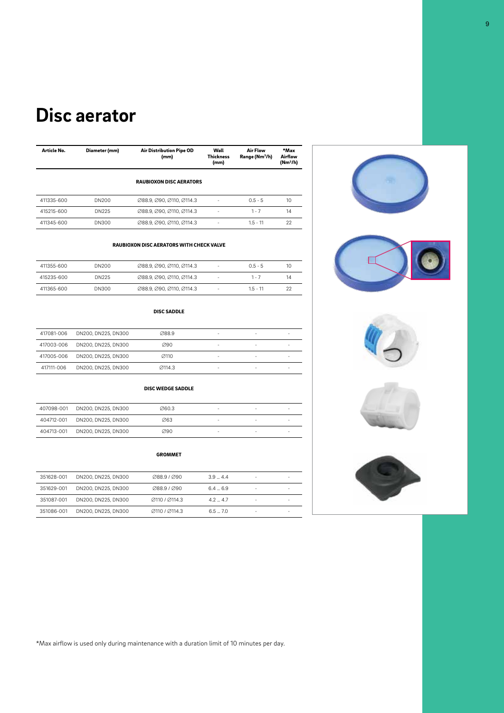## **Pipe aerator Disc aerator**

| Article No. | Diameter (mm) | <b>Air Distribution Pipe OD</b><br>(mm) | Wall<br><b>Thickness</b><br>(mm) | <b>Air Flow</b><br>Range (Nm <sup>3</sup> /h) | *Max<br>Airflow<br>(Nm <sup>3</sup> /h) |
|-------------|---------------|-----------------------------------------|----------------------------------|-----------------------------------------------|-----------------------------------------|
|             |               | <b>RAUBIOXON DISC AERATORS</b>          |                                  |                                               |                                         |
| 411335-600  | DN200         | Ø88.9, Ø90, Ø110, Ø114.3                |                                  | $0.5 - 5$                                     | 10                                      |
| 415215-600  | DN225         | Ø88.9, Ø90, Ø110, Ø114.3                | ٠                                | $1 - 7$                                       | 14                                      |
| 411345-600  | DN300         | Ø88.9, Ø90, Ø110, Ø114.3                | ٠                                | $1.5 - 11$                                    | 22                                      |

#### RAUBIOXON DISC AERATORS WITH CHECK VALVE

| 411355-600 | DN200 | Ø88.9, Ø90, Ø110, Ø114.3 | ٠                        | $0.5 - 5$  | 10 |
|------------|-------|--------------------------|--------------------------|------------|----|
| 415235-600 | DN225 | Ø88.9, Ø90, Ø110, Ø114.3 | $\overline{\phantom{a}}$ | 1 - 7      | 14 |
| 411365-600 | DN300 | Ø88.9, Ø90, Ø110, Ø114.3 | ۰                        | $1.5 - 11$ |    |

### DISC SADDLE

| 417081-006 | DN200, DN225, DN300 | Ø88.9             | - | $\overline{\phantom{0}}$ |   |
|------------|---------------------|-------------------|---|--------------------------|---|
| 417003-006 | DN200, DN225, DN300 | $\varnothing$ 90  |   | -                        |   |
| 417005-006 | DN200, DN225, DN300 | $\varnothing$ 110 | - | -                        | - |
| 417111-006 | DN200, DN225, DN300 | Ø114.3            | - | -                        |   |

#### DISC WEDGE SADDLE

| 407098-001 | DN200, DN225, DN300 | Ø60.3 | - | $\sim$ | ۰                        |
|------------|---------------------|-------|---|--------|--------------------------|
| 404712-001 | DN200, DN225, DN300 | Ø63   | - | $\sim$ | $\overline{\phantom{a}}$ |
| 404713-001 | DN200, DN225, DN300 | ∅90   | - | -      | $\overline{\phantom{a}}$ |

#### GROMMET

| 351628-001 | DN200, DN225, DN300 | 088.9 / 090   | $3.9 - 4.4$ | $\overline{\phantom{a}}$ |  |
|------------|---------------------|---------------|-------------|--------------------------|--|
| 351629-001 | DN200, DN225, DN300 | 088.9 / 090   | $6.4 - 6.9$ | $\overline{\phantom{a}}$ |  |
| 351087-001 | DN200, DN225, DN300 | @110 / @114.3 | 42 47       | $\overline{\phantom{0}}$ |  |
| 351086-001 | DN200, DN225, DN300 | @110 / @114.3 | $6.5 - 7.0$ | -                        |  |







\*Max airflow is used only during maintenance with a duration limit of 10 minutes per day.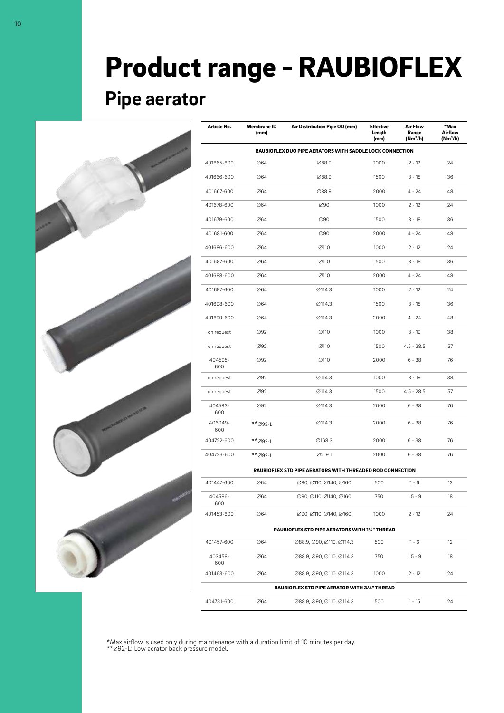# Product range - RAUBIOFLEX

## **Pipe aerator**



| Article No.       | Membrane ID<br>(mm) | Air Distribution Pipe OD (mm)                             | <b>Effective</b><br>Length<br>(mm) | Air Flow<br>Range<br>(Nm <sup>3</sup> /h) | *Max<br>Airflow<br>$(Nm^3/h)$ |  |
|-------------------|---------------------|-----------------------------------------------------------|------------------------------------|-------------------------------------------|-------------------------------|--|
|                   |                     | RAUBIOFLEX DUO PIPE AERATORS WITH SADDLE LOCK CONNECTION  |                                    |                                           |                               |  |
| 401665-600        | ∅64                 | ∅88.9                                                     | 1000                               | $2 - 12$                                  | 24                            |  |
| 401666-600        | ∅64                 | ∅88.9                                                     | 1500                               | $3 - 18$                                  | 36                            |  |
| 401667-600        | ∅64                 | ∅88.9                                                     | 2000                               | $4 - 24$                                  | 48                            |  |
| 401678-600        | ∅64                 | ∅90                                                       | 1000                               | $2 - 12$                                  | 24                            |  |
| 401679-600        | 064                 | ∅90                                                       | 1500                               | $3 - 18$                                  | 36                            |  |
| 401681-600        | 064                 | Ø90                                                       | 2000                               | $4 - 24$                                  | 48                            |  |
| 401686-600        | ∅64                 | ∅110                                                      | 1000                               | $2 - 12$                                  | 24                            |  |
| 401687-600        | Ø64                 | ⊘110                                                      | 1500                               | $3 - 18$                                  | 36                            |  |
| 401688-600        | ∅64                 | ∅110                                                      | 2000                               | $4 - 24$                                  | 48                            |  |
| 401697-600        | ∅64                 | ∅114.3                                                    | 1000                               | $2 - 12$                                  | 24                            |  |
| 401698-600        | ∅64                 | ∅114.3                                                    | 1500                               | $3 - 18$                                  | 36                            |  |
| 401699-600<br>∅64 |                     | ∅114.3                                                    | 2000                               | $4 - 24$                                  | 48                            |  |
| on request        | Ø92                 | ∅110                                                      | 1000                               | $3 - 19$                                  | 38                            |  |
| on request        | Ø92                 | ⊘110                                                      | 1500                               | $4.5 - 28.5$                              | 57                            |  |
| 404595-<br>600    | Ø92                 | ⊘110                                                      | 2000                               | $6 - 38$                                  | 76                            |  |
| on request        | Ø92                 | ∅114.3                                                    | 1000                               | $3 - 19$                                  | 38                            |  |
| on request        | Ø92                 | ∅114.3                                                    | 1500                               | $4.5 - 28.5$                              | 57                            |  |
| 404593-<br>600    | 092                 | ∅114.3                                                    | 2000                               | $6 - 38$                                  | 76                            |  |
| 406049-<br>600    | **Ø92-L             | ∅114.3                                                    | 2000                               | $6 - 38$                                  | 76                            |  |
| 404722-600        | **Ø92-L             | ∅168.3                                                    | 2000                               | $6 - 38$                                  | 76                            |  |
| 404723-600        | **∅92-L             | ∅219.1                                                    | 2000                               | $6 - 38$                                  | 76                            |  |
|                   |                     | RAUBIOFLEX STD PIPE AERATORS WITH THREADED ROD CONNECTION |                                    |                                           |                               |  |
| 401447-600        | ∅64                 | Ø90, Ø110, Ø140, Ø160                                     | 500                                | $1 - 6$                                   | 12                            |  |
| 404586-<br>600    | ∅64                 | Ø90, Ø110, Ø140, Ø160                                     | 750                                | $1.5 - 9$                                 | 18                            |  |
| 401453-600        | ∅64                 | Ø90, Ø110, Ø140, Ø160                                     | 1000                               | $2 - 12$                                  | 24                            |  |
|                   |                     | RAUBIOFLEX STD PIPE AERATORS WITH 1%" THREAD              |                                    |                                           |                               |  |
| 401457-600        | ∅64                 | Ø88.9, Ø90, Ø110, Ø114.3                                  | 500                                | $1 - 6$                                   | 12                            |  |
| 403458-<br>600    | ∅64                 | Ø88.9, Ø90, Ø110, Ø114.3                                  | 750                                | $1.5 - 9$                                 | 18                            |  |
| 401463-600        | ∅64                 | Ø88.9, Ø90, Ø110, Ø114.3                                  | 1000                               | $2 - 12$                                  | 24                            |  |

RAUBIOFLEX STD PIPE AERATOR WITH 3/4" THREAD 404731-600 ∅64 ∅88.9, ∅90, ∅110, ∅114.3 500 1 - 15 24

\*Max airflow is used only during maintenance with a duration limit of 10 minutes per day. \*\*∅92-L: Low aerator back pressure model.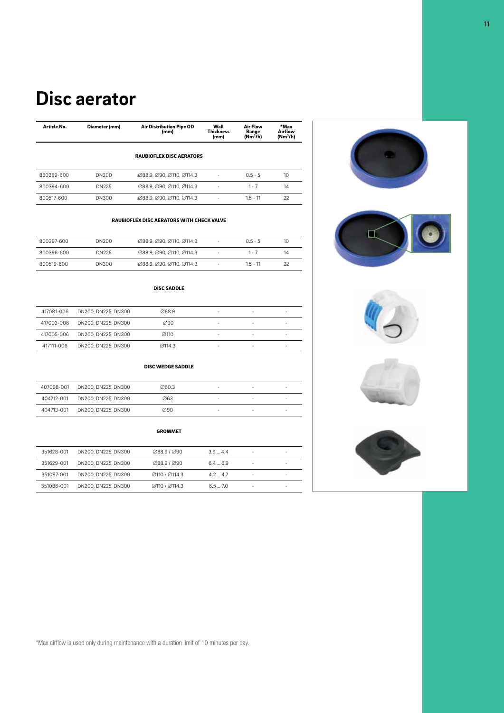## **Pipe aerator Disc aerator**

| Article No. | Diameter (mm) | <b>Air Distribution Pipe OD</b><br>(mm) | Wall<br><b>Thickness</b><br>(mm) | <b>Air Flow</b><br>Range<br>(Nm <sup>3</sup> /h) | *Max<br>Airflow<br>$(Nm^3/h)$ |
|-------------|---------------|-----------------------------------------|----------------------------------|--------------------------------------------------|-------------------------------|
|             |               | <b>RAUBIOFLEX DISC AERATORS</b>         |                                  |                                                  |                               |
| 860389-600  | DN200         | Ø88.9, Ø90, Ø110, Ø114.3                | ٠                                | $0.5 - 5$                                        | 10                            |
| 800394-600  | DN225         | Ø88.9, Ø90, Ø110, Ø114.3                |                                  | $1 - 7$                                          | 14                            |
| 800517-600  | <b>DN300</b>  | Ø88.9, Ø90, Ø110, Ø114.3                | ٠                                | $1.5 - 11$                                       | 22                            |
|             |               |                                         |                                  |                                                  |                               |

### RAUBIOFLEX DISC AERATORS WITH CHECK VALVE

| 800397-600 | DN200 | Ø88.9, Ø90, Ø110, Ø114.3 | ٠      | $0.5 - 5$ | 10 |
|------------|-------|--------------------------|--------|-----------|----|
| 800396-600 | DN225 | Ø88.9, Ø90, Ø110, Ø114.3 | $\sim$ | $1 - 7$   | 14 |
| 800519-600 | DN300 | Ø88.9, Ø90, Ø110, Ø114.3 | ÷      | $15 - 11$ | 22 |

### DISC SADDLE

| 417081-006 | DN200, DN225, DN300 | Ø88.9             | - | - | - |
|------------|---------------------|-------------------|---|---|---|
| 417003-006 | DN200, DN225, DN300 | $\varnothing$ 90  | - | - | - |
| 417005-006 | DN200, DN225, DN300 | $\varnothing$ 110 | - | - | - |
| 417111-006 | DN200, DN225, DN300 | Ø114.3            | - |   | - |

### DISC WEDGE SADDLE

| 407098-001 | DN200, DN225, DN300 | Ø60.3            | $\overline{\phantom{a}}$ | - | -                        |
|------------|---------------------|------------------|--------------------------|---|--------------------------|
| 404712-001 | DN200, DN225, DN300 | Ø63              | $\overline{\phantom{a}}$ | - | $\overline{\phantom{a}}$ |
| 404713-001 | DN200, DN225, DN300 | $\varnothing$ 90 | $\overline{\phantom{a}}$ | - | -                        |

### GROMMET

| 351628-001 | DN200, DN225, DN300 | 088.9 / 090   | $3.9 - 4.4$ | -                        |   |
|------------|---------------------|---------------|-------------|--------------------------|---|
| 351629-001 | DN200, DN225, DN300 | 088.9 / 090   | $6.4 - 6.9$ | $\overline{\phantom{a}}$ |   |
| 351087-001 | DN200, DN225, DN300 | @110 / @114.3 | 42 47       | -                        |   |
| 351086-001 | DN200, DN225, DN300 | @110 / @114.3 | $6.5 - 7.0$ | -                        | - |











\*Max airflow is used only during maintenance with a duration limit of 10 minutes per day.